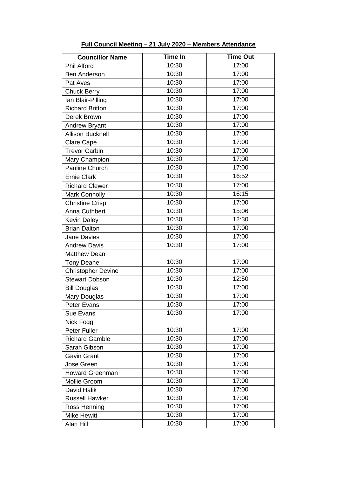| <b>Councillor Name</b>    | <b>Time In</b> | <b>Time Out</b>    |
|---------------------------|----------------|--------------------|
| <b>Phil Alford</b>        | 10:30          | 17:00              |
| <b>Ben Anderson</b>       | 10:30          | 17:00              |
| Pat Aves                  | 10:30          | 17:00              |
| <b>Chuck Berry</b>        | 10:30          | 17:00              |
| lan Blair-Pilling         | 10:30          | 17:00              |
| <b>Richard Britton</b>    | 10:30          | 17:00              |
| Derek Brown               | 10:30          | 17:00              |
| <b>Andrew Bryant</b>      | 10:30          | 17:00              |
| <b>Allison Bucknell</b>   | 10:30          | 17:00              |
| <b>Clare Cape</b>         | 10:30          | 17:00              |
| <b>Trevor Carbin</b>      | 10:30          | 17:00              |
| Mary Champion             | 10:30          | 17:00              |
| Pauline Church            | 10:30          | 17:00              |
| <b>Ernie Clark</b>        | 10:30          | 16:52              |
| <b>Richard Clewer</b>     | 10:30          | 17:00              |
| <b>Mark Connolly</b>      | 10:30          | 16:15              |
| <b>Christine Crisp</b>    | 10:30          | 17:00              |
| Anna Cuthbert             | 10:30          | 15:06              |
| <b>Kevin Daley</b>        | 10:30          | $\overline{12:}30$ |
| <b>Brian Dalton</b>       | 10:30          | 17:00              |
| <b>Jane Davies</b>        | 10:30          | 17:00              |
| <b>Andrew Davis</b>       | 10:30          | 17:00              |
| <b>Matthew Dean</b>       |                |                    |
| <b>Tony Deane</b>         | 10:30          | 17:00              |
| <b>Christopher Devine</b> | 10:30          | $\overline{1}7:00$ |
| <b>Stewart Dobson</b>     | 10:30          | 12:50              |
| <b>Bill Douglas</b>       | 10:30          | 17:00              |
| Mary Douglas              | 10:30          | 17:00              |
| Peter Evans               | 10:30          | 17:00              |
| Sue Evans                 | 10:30          | 17:00              |
| Nick Fogg                 |                |                    |
| Peter Fuller              | 10:30          | 17:00              |
| <b>Richard Gamble</b>     | 10:30          | 17:00              |
| Sarah Gibson              | 10:30          | 17:00              |
| <b>Gavin Grant</b>        | 10:30          | 17:00              |
| Jose Green                | 10:30          | 17:00              |
| <b>Howard Greenman</b>    | 10:30          | 17:00              |
| Mollie Groom              | 10:30          | 17:00              |
| David Halik               | 10:30          | 17:00              |
| <b>Russell Hawker</b>     | 10:30          | 17:00              |
| Ross Henning              | 10:30          | 17:00              |
| <b>Mike Hewitt</b>        | 10:30          | 17:00              |
| Alan Hill                 | 10:30          | 17:00              |

**Full Council Meeting – 21 July 2020 – Members Attendance**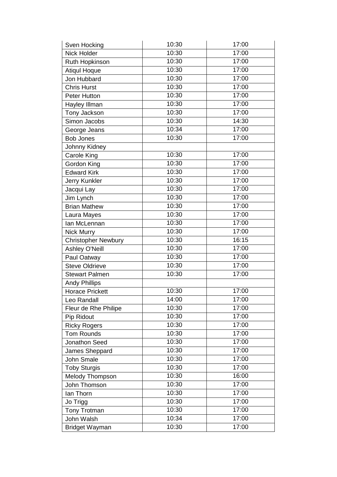| Sven Hocking               | 10:30 | 17:00 |
|----------------------------|-------|-------|
| <b>Nick Holder</b>         | 10:30 | 17:00 |
| Ruth Hopkinson             | 10:30 | 17:00 |
| <b>Atiqul Hoque</b>        | 10:30 | 17:00 |
| Jon Hubbard                | 10:30 | 17:00 |
| <b>Chris Hurst</b>         | 10:30 | 17:00 |
| <b>Peter Hutton</b>        | 10:30 | 17:00 |
| Hayley Illman              | 10:30 | 17:00 |
| Tony Jackson               | 10:30 | 17:00 |
| Simon Jacobs               | 10:30 | 14:30 |
| George Jeans               | 10:34 | 17:00 |
| <b>Bob Jones</b>           | 10:30 | 17:00 |
| Johnny Kidney              |       |       |
| <b>Carole King</b>         | 10:30 | 17:00 |
| <b>Gordon King</b>         | 10:30 | 17:00 |
| <b>Edward Kirk</b>         | 10:30 | 17:00 |
| Jerry Kunkler              | 10:30 | 17:00 |
| Jacqui Lay                 | 10:30 | 17:00 |
| Jim Lynch                  | 10:30 | 17:00 |
| <b>Brian Mathew</b>        | 10:30 | 17:00 |
| Laura Mayes                | 10:30 | 17:00 |
| lan McLennan               | 10:30 | 17:00 |
| <b>Nick Murry</b>          | 10:30 | 17:00 |
| <b>Christopher Newbury</b> | 10:30 | 16:15 |
| <b>Ashley O'Neill</b>      | 10:30 | 17:00 |
| Paul Oatway                | 10:30 | 17:00 |
| <b>Steve Oldrieve</b>      | 10:30 | 17:00 |
| <b>Stewart Palmen</b>      | 10:30 | 17:00 |
| <b>Andy Phillips</b>       |       |       |
| <b>Horace Prickett</b>     | 10:30 | 17:00 |
| Leo Randall                | 14:00 | 17:00 |
| Fleur de Rhe Philipe       | 10:30 | 17:00 |
| Pip Ridout                 | 10:30 | 17:00 |
| <b>Ricky Rogers</b>        | 10:30 | 17:00 |
| <b>Tom Rounds</b>          | 10:30 | 17:00 |
| Jonathon Seed              | 10:30 | 17:00 |
| James Sheppard             | 10:30 | 17:00 |
| John Smale                 | 10:30 | 17:00 |
| <b>Toby Sturgis</b>        | 10:30 | 17:00 |
| <b>Melody Thompson</b>     | 10:30 | 16:00 |
| John Thomson               | 10:30 | 17:00 |
| lan Thorn                  | 10:30 | 17:00 |
| Jo Trigg                   | 10:30 | 17:00 |
| Tony Trotman               | 10:30 | 17:00 |
| John Walsh                 | 10:34 | 17:00 |
| Bridget Wayman             | 10:30 | 17:00 |